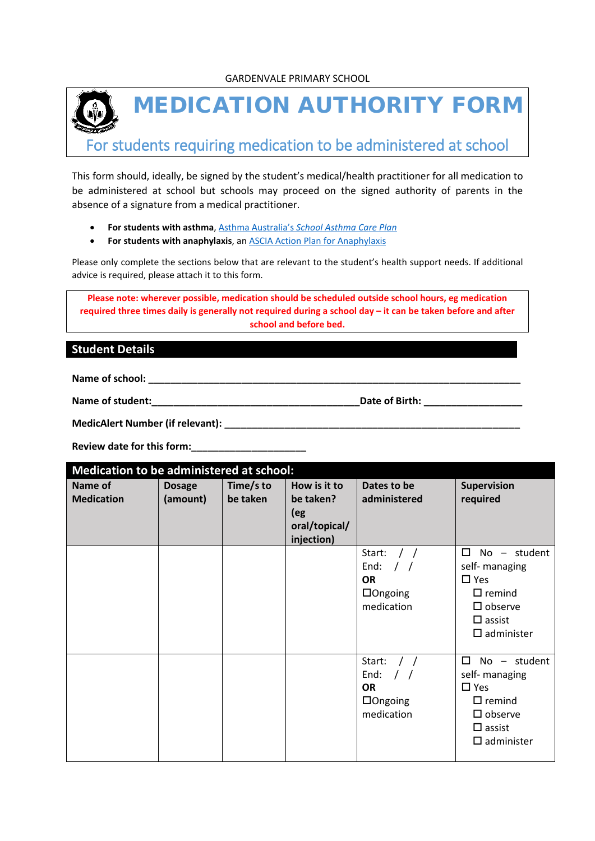

MEDICATION AUTHORITY FORM

For students requiring medication to be administered at school

This form should, ideally, be signed by the student's medical/health practitioner for all medication to be administered at school but schools may proceed on the signed authority of parents in the absence of a signature from a medical practitioner.

- **For students with asthma**, Asthma Australia's *[School Asthma Care Plan](https://www.asthmaaustralia.org.au/vic/about-asthma/resources)*
- **For students with anaphylaxis**, a[n ASCIA Action Plan for Anaphylaxis](https://allergy.org.au/health-professionals/ascia-plans-action-and-treatment)

Please only complete the sections below that are relevant to the student's health support needs. If additional advice is required, please attach it to this form.

**Please note: wherever possible, medication should be scheduled outside school hours, eg medication required three times daily is generally not required during a school day – it can be taken before and after school and before bed.**

# **Student Details**

Name of school: **We also see also see also see also see also see also see also see also see also see also see a** 

**Name of student:\_\_\_\_\_\_\_\_\_\_\_\_\_\_\_\_\_\_\_\_\_\_\_\_\_\_\_\_\_\_\_\_\_\_\_\_\_\_Date of Birth: \_\_\_\_\_\_\_\_\_\_\_\_\_\_\_\_\_\_**

**MedicAlert Number (if relevant): \_\_\_\_\_\_\_\_\_\_\_\_\_\_\_\_\_\_\_\_\_\_\_\_\_\_\_\_\_\_\_\_\_\_\_\_\_\_\_\_\_\_\_\_\_\_\_\_\_\_\_\_\_\_**

**Review date for this form:\_\_\_\_\_\_\_\_\_\_\_\_\_\_\_\_\_\_\_\_\_**

| Medication to be administered at school: |                           |                       |                                                                 |                                                                                  |                                                                                                                                                        |  |
|------------------------------------------|---------------------------|-----------------------|-----------------------------------------------------------------|----------------------------------------------------------------------------------|--------------------------------------------------------------------------------------------------------------------------------------------------------|--|
| Name of<br><b>Medication</b>             | <b>Dosage</b><br>(amount) | Time/s to<br>be taken | How is it to<br>be taken?<br>(eg<br>oral/topical/<br>injection) | Dates to be<br>administered                                                      | <b>Supervision</b><br>required                                                                                                                         |  |
|                                          |                           |                       |                                                                 | Start:<br>End:<br>$\prime$ $\prime$<br><b>OR</b><br>$\Box$ Ongoing<br>medication | $\Box$<br>student<br>No<br>$\sim$<br>self- managing<br>$\square$ Yes<br>$\Box$ remind<br>$\square$ observe<br>$\square$ assist<br>$\square$ administer |  |
|                                          |                           |                       |                                                                 | Start:<br>End:<br>$\frac{1}{2}$<br><b>OR</b><br>$\Box$ Ongoing<br>medication     | □<br>No - student<br>self- managing<br>$\square$ Yes<br>$\Box$ remind<br>$\square$ observe<br>$\square$ assist<br>$\square$ administer                 |  |